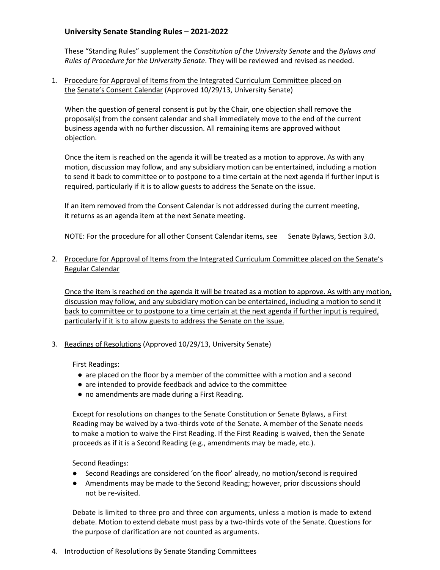## **University Senate Standing Rules – 2021-2022**

These "Standing Rules" supplement the *Constitution of the University Senate* and the *Bylaws and Rules of Procedure for the University Senate*. They will be reviewed and revised as needed.

1. Procedure for Approval of Items from the Integrated Curriculum Committee placed on the Senate's Consent Calendar (Approved 10/29/13, University Senate)

When the question of general consent is put by the Chair, one objection shall remove the proposal(s) from the consent calendar and shall immediately move to the end of the current business agenda with no further discussion. All remaining items are approved without objection.

Once the item is reached on the agenda it will be treated as a motion to approve. As with any motion, discussion may follow, and any subsidiary motion can be entertained, including a motion to send it back to committee or to postpone to a time certain at the next agenda if further input is required, particularly if it is to allow guests to address the Senate on the issue.

If an item removed from the Consent Calendar is not addressed during the current meeting, it returns as an agenda item at the next Senate meeting.

NOTE: For the procedure for all other Consent Calendar items, see Senate Bylaws, Section 3.0.

2. Procedure for Approval of Items from the Integrated Curriculum Committee placed on the Senate's Regular Calendar

Once the item is reached on the agenda it will be treated as a motion to approve. As with any motion, discussion may follow, and any subsidiary motion can be entertained, including a motion to send it back to committee or to postpone to a time certain at the next agenda if further input is required, particularly if it is to allow guests to address the Senate on the issue.

3. Readings of Resolutions (Approved 10/29/13, University Senate)

First Readings:

- are placed on the floor by a member of the committee with a motion and a second
- are intended to provide feedback and advice to the committee
- no amendments are made during a First Reading.

Except for resolutions on changes to the Senate Constitution or Senate Bylaws, a First Reading may be waived by a two-thirds vote of the Senate. A member of the Senate needs to make a motion to waive the First Reading. If the First Reading is waived, then the Senate proceeds as if it is a Second Reading (e.g., amendments may be made, etc.).

Second Readings:

- Second Readings are considered 'on the floor' already, no motion/second is required
- Amendments may be made to the Second Reading; however, prior discussions should not be re-visited.

Debate is limited to three pro and three con arguments, unless a motion is made to extend debate. Motion to extend debate must pass by a two-thirds vote of the Senate. Questions for the purpose of clarification are not counted as arguments.

4. Introduction of Resolutions By Senate Standing Committees